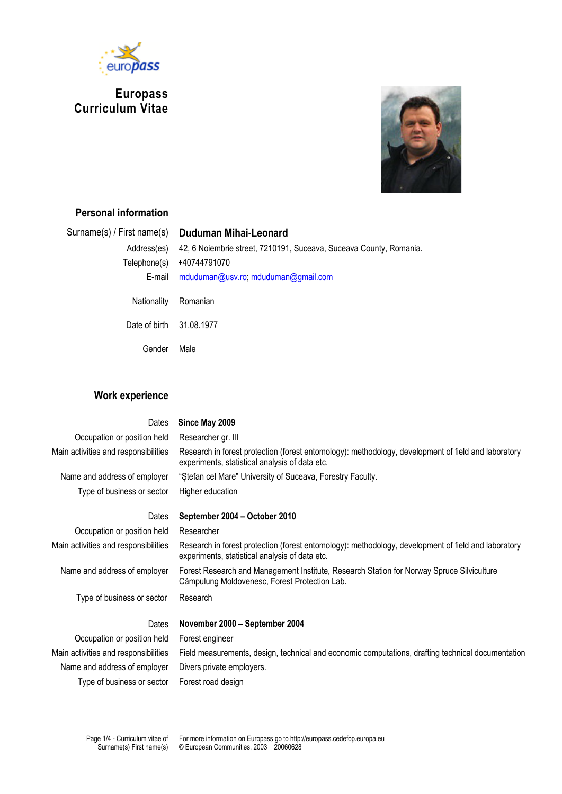

**Europass Curriculum Vitae**



| <b>Personal information</b>          |                                                                                                                                                       |
|--------------------------------------|-------------------------------------------------------------------------------------------------------------------------------------------------------|
| Surname(s) / First name(s)           | <b>Duduman Mihai-Leonard</b>                                                                                                                          |
| Address(es)                          | 42, 6 Noiembrie street, 7210191, Suceava, Suceava County, Romania.                                                                                    |
| Telephone(s)                         | +40744791070                                                                                                                                          |
| E-mail                               | mduduman@usv.ro; mduduman@gmail.com                                                                                                                   |
| Nationality                          | Romanian                                                                                                                                              |
| Date of birth                        | 31.08.1977                                                                                                                                            |
| Gender                               | Male                                                                                                                                                  |
|                                      |                                                                                                                                                       |
| <b>Work experience</b>               |                                                                                                                                                       |
| Dates                                | Since May 2009                                                                                                                                        |
| Occupation or position held          | Researcher gr. III                                                                                                                                    |
| Main activities and responsibilities | Research in forest protection (forest entomology): methodology, development of field and laboratory<br>experiments, statistical analysis of data etc. |
| Name and address of employer         | "Stefan cel Mare" University of Suceava, Forestry Faculty.                                                                                            |
| Type of business or sector           | Higher education                                                                                                                                      |
| Dates                                | September 2004 - October 2010                                                                                                                         |
| Occupation or position held          | Researcher                                                                                                                                            |
| Main activities and responsibilities | Research in forest protection (forest entomology): methodology, development of field and laboratory<br>experiments, statistical analysis of data etc. |
| Name and address of employer         | Forest Research and Management Institute, Research Station for Norway Spruce Silviculture<br>Câmpulung Moldovenesc, Forest Protection Lab.            |
| Type of business or sector           | Research                                                                                                                                              |
| Dates                                | November 2000 - September 2004                                                                                                                        |
| Occupation or position held          | Forest engineer                                                                                                                                       |
| Main activities and responsibilities | Field measurements, design, technical and economic computations, drafting technical documentation                                                     |
| Name and address of employer         | Divers private employers.                                                                                                                             |
| Type of business or sector           | Forest road design                                                                                                                                    |
|                                      |                                                                                                                                                       |

## Page 1/4 - Curriculum vitae of Surname(s) First name(s) For more information on Europass go to http://europass.cedefop.europa.eu © European Communities, 2003 20060628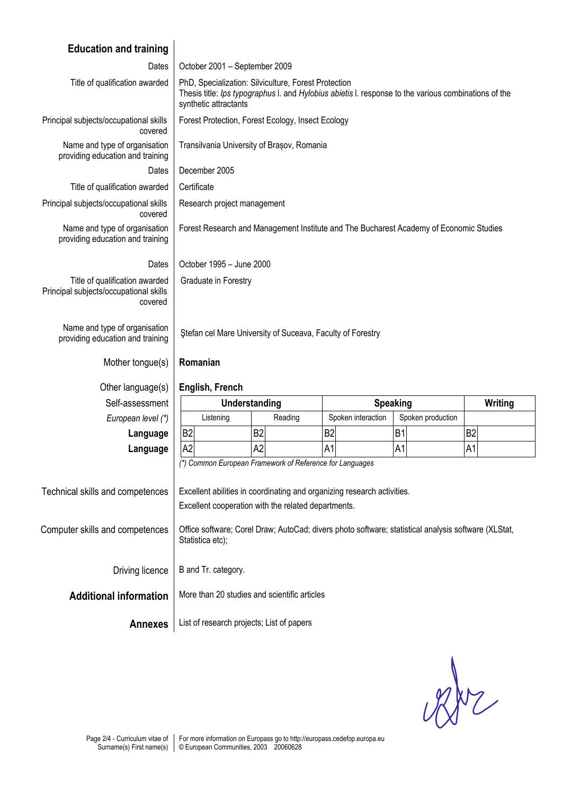| <b>Education and training</b>                                                       |                                                                                                                                                                                       |                |                    |                   |                |         |  |  |
|-------------------------------------------------------------------------------------|---------------------------------------------------------------------------------------------------------------------------------------------------------------------------------------|----------------|--------------------|-------------------|----------------|---------|--|--|
| Dates                                                                               | October 2001 - September 2009                                                                                                                                                         |                |                    |                   |                |         |  |  |
| Title of qualification awarded                                                      | PhD, Specialization: Silviculture, Forest Protection<br>Thesis title: Ips typographus I. and Hylobius abietis I. response to the various combinations of the<br>synthetic attractants |                |                    |                   |                |         |  |  |
| Principal subjects/occupational skills<br>covered                                   | Forest Protection, Forest Ecology, Insect Ecology                                                                                                                                     |                |                    |                   |                |         |  |  |
| Name and type of organisation<br>providing education and training                   | Transilvania University of Brașov, Romania                                                                                                                                            |                |                    |                   |                |         |  |  |
| Dates                                                                               | December 2005                                                                                                                                                                         |                |                    |                   |                |         |  |  |
| Title of qualification awarded                                                      | Certificate                                                                                                                                                                           |                |                    |                   |                |         |  |  |
| Principal subjects/occupational skills<br>covered                                   | Research project management                                                                                                                                                           |                |                    |                   |                |         |  |  |
| Name and type of organisation<br>providing education and training                   | Forest Research and Management Institute and The Bucharest Academy of Economic Studies                                                                                                |                |                    |                   |                |         |  |  |
| Dates                                                                               | October 1995 - June 2000                                                                                                                                                              |                |                    |                   |                |         |  |  |
| Title of qualification awarded<br>Principal subjects/occupational skills<br>covered | Graduate in Forestry                                                                                                                                                                  |                |                    |                   |                |         |  |  |
| Name and type of organisation<br>providing education and training                   | Stefan cel Mare University of Suceava, Faculty of Forestry                                                                                                                            |                |                    |                   |                |         |  |  |
| Mother tongue(s)                                                                    | Romanian                                                                                                                                                                              |                |                    |                   |                |         |  |  |
| Other language(s)                                                                   | English, French                                                                                                                                                                       |                |                    |                   |                |         |  |  |
| Self-assessment                                                                     |                                                                                                                                                                                       | Understanding  | <b>Speaking</b>    |                   |                | Writing |  |  |
| European level (*)                                                                  | Listening                                                                                                                                                                             | Reading        | Spoken interaction | Spoken production |                |         |  |  |
| Language                                                                            | B <sub>2</sub>                                                                                                                                                                        | B <sub>2</sub> | B <sub>2</sub>     | <b>B1</b>         | B <sub>2</sub> |         |  |  |
| Language                                                                            | A <sub>2</sub>                                                                                                                                                                        | A2             | A <sub>1</sub>     | A1                | A1             |         |  |  |
|                                                                                     | (*) Common European Framework of Reference for Languages                                                                                                                              |                |                    |                   |                |         |  |  |
| Technical skills and competences                                                    | Excellent abilities in coordinating and organizing research activities.                                                                                                               |                |                    |                   |                |         |  |  |
|                                                                                     | Excellent cooperation with the related departments.                                                                                                                                   |                |                    |                   |                |         |  |  |
| Computer skills and competences                                                     | Office software; Corel Draw; AutoCad; divers photo software; statistical analysis software (XLStat,<br>Statistica etc);                                                               |                |                    |                   |                |         |  |  |
| Driving licence                                                                     | B and Tr. category.                                                                                                                                                                   |                |                    |                   |                |         |  |  |
| <b>Additional information</b>                                                       | More than 20 studies and scientific articles                                                                                                                                          |                |                    |                   |                |         |  |  |
| <b>Annexes</b>                                                                      | List of research projects; List of papers                                                                                                                                             |                |                    |                   |                |         |  |  |

 $2000$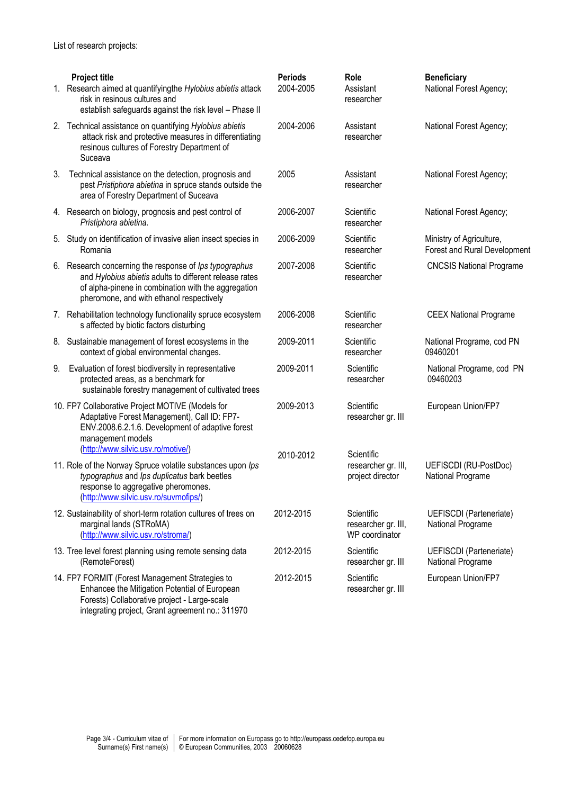|    | <b>Project title</b><br>1. Research aimed at quantifyingthe Hylobius abietis attack<br>risk in resinous cultures and<br>establish safeguards against the risk level - Phase II                                                  | <b>Periods</b><br>2004-2005 | Role<br>Assistant<br>researcher                       | <b>Beneficiary</b><br>National Forest Agency;            |
|----|---------------------------------------------------------------------------------------------------------------------------------------------------------------------------------------------------------------------------------|-----------------------------|-------------------------------------------------------|----------------------------------------------------------|
|    | 2. Technical assistance on quantifying Hylobius abietis<br>attack risk and protective measures in differentiating<br>resinous cultures of Forestry Department of<br>Suceava                                                     | 2004-2006                   | Assistant<br>researcher                               | National Forest Agency;                                  |
| 3. | Technical assistance on the detection, prognosis and<br>pest Pristiphora abietina in spruce stands outside the<br>area of Forestry Department of Suceava                                                                        | 2005                        | Assistant<br>researcher                               | National Forest Agency;                                  |
|    | 4. Research on biology, prognosis and pest control of<br>Pristiphora abietina.                                                                                                                                                  | 2006-2007                   | Scientific<br>researcher                              | National Forest Agency;                                  |
|    | 5. Study on identification of invasive alien insect species in<br>Romania                                                                                                                                                       | 2006-2009                   | Scientific<br>researcher                              | Ministry of Agriculture,<br>Forest and Rural Development |
|    | 6. Research concerning the response of lps typographus<br>and Hylobius abietis adults to different release rates<br>of alpha-pinene in combination with the aggregation<br>pheromone, and with ethanol respectively             | 2007-2008                   | Scientific<br>researcher                              | <b>CNCSIS National Programe</b>                          |
|    | 7. Rehabilitation technology functionality spruce ecosystem<br>s affected by biotic factors disturbing                                                                                                                          | 2006-2008                   | Scientific<br>researcher                              | <b>CEEX National Programe</b>                            |
|    | 8. Sustainable management of forest ecosystems in the<br>context of global environmental changes.                                                                                                                               | 2009-2011                   | Scientific<br>researcher                              | National Programe, cod PN<br>09460201                    |
| 9. | Evaluation of forest biodiversity in representative<br>protected areas, as a benchmark for<br>sustainable forestry management of cultivated trees                                                                               | 2009-2011                   | Scientific<br>researcher                              | National Programe, cod PN<br>09460203                    |
|    | 10. FP7 Collaborative Project MOTIVE (Models for<br>Adaptative Forest Management), Call ID: FP7-<br>ENV.2008.6.2.1.6. Development of adaptive forest<br>management models                                                       | 2009-2013                   | Scientific<br>researcher gr. III                      | European Union/FP7                                       |
|    | (http://www.silvic.usv.ro/motive/)<br>11. Role of the Norway Spruce volatile substances upon Ips<br>typographus and Ips duplicatus bark beetles<br>response to aggregative pheromones.<br>(http://www.silvic.usv.ro/suvmofips/) | 2010-2012                   | Scientific<br>researcher gr. III,<br>project director | UEFISCDI (RU-PostDoc)<br>National Programe               |
|    | 12. Sustainability of short-term rotation cultures of trees on<br>marginal lands (STRoMA)<br>(http://www.silvic.usv.ro/stroma/)                                                                                                 | 2012-2015                   | Scientific<br>researcher gr. III,<br>WP coordinator   | UEFISCDI (Parteneriate)<br>National Programe             |
|    | 13. Tree level forest planning using remote sensing data<br>(RemoteForest)                                                                                                                                                      | 2012-2015                   | Scientific<br>researcher gr. III                      | UEFISCDI (Parteneriate)<br>National Programe             |
|    | 14. FP7 FORMIT (Forest Management Strategies to<br>Enhancee the Mitigation Potential of European<br>Forests) Collaborative project - Large-scale<br>integrating project, Grant agreement no.: 311970                            | 2012-2015                   | Scientific<br>researcher gr. III                      | European Union/FP7                                       |